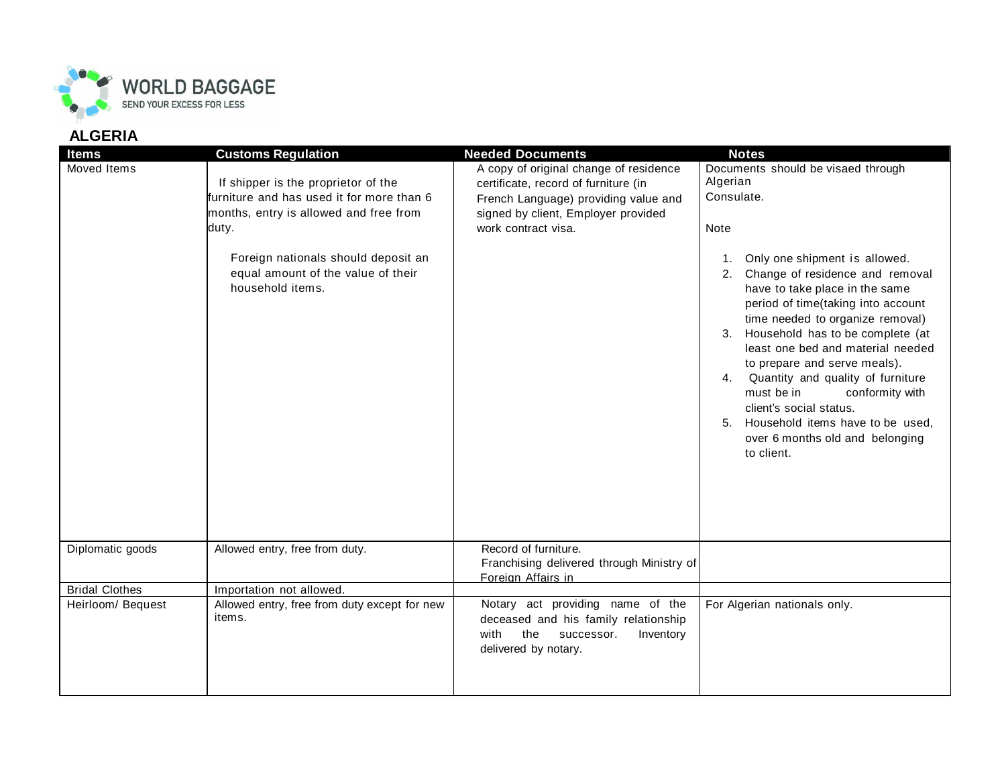

## **ALGERIA**

| <b>Items</b>          | <b>Customs Regulation</b>                                                                                                                                                                                                            | <b>Needed Documents</b>                                                                                                                                                              | <b>Notes</b>                                                                                                                                                                                                                                                                                                                                                                                                                                                                                                                                                                    |
|-----------------------|--------------------------------------------------------------------------------------------------------------------------------------------------------------------------------------------------------------------------------------|--------------------------------------------------------------------------------------------------------------------------------------------------------------------------------------|---------------------------------------------------------------------------------------------------------------------------------------------------------------------------------------------------------------------------------------------------------------------------------------------------------------------------------------------------------------------------------------------------------------------------------------------------------------------------------------------------------------------------------------------------------------------------------|
| Moved Items           | If shipper is the proprietor of the<br>furniture and has used it for more than 6<br>months, entry is allowed and free from<br>duty.<br>Foreign nationals should deposit an<br>equal amount of the value of their<br>household items. | A copy of original change of residence<br>certificate, record of furniture (in<br>French Language) providing value and<br>signed by client, Employer provided<br>work contract visa. | Documents should be visaed through<br>Algerian<br>Consulate.<br><b>Note</b><br>Only one shipment is allowed.<br>Change of residence and removal<br>2.<br>have to take place in the same<br>period of time(taking into account<br>time needed to organize removal)<br>Household has to be complete (at<br>3.<br>least one bed and material needed<br>to prepare and serve meals).<br>Quantity and quality of furniture<br>4.<br>must be in<br>conformity with<br>client's social status.<br>5. Household items have to be used.<br>over 6 months old and belonging<br>to client. |
| Diplomatic goods      | Allowed entry, free from duty.                                                                                                                                                                                                       | Record of furniture.<br>Franchising delivered through Ministry of<br>Foreign Affairs in                                                                                              |                                                                                                                                                                                                                                                                                                                                                                                                                                                                                                                                                                                 |
| <b>Bridal Clothes</b> | Importation not allowed.                                                                                                                                                                                                             |                                                                                                                                                                                      |                                                                                                                                                                                                                                                                                                                                                                                                                                                                                                                                                                                 |
| Heirloom/ Bequest     | Allowed entry, free from duty except for new<br>items.                                                                                                                                                                               | Notary act providing name of the<br>deceased and his family relationship<br>the<br>with<br>successor.<br>Inventory<br>delivered by notary.                                           | For Algerian nationals only.                                                                                                                                                                                                                                                                                                                                                                                                                                                                                                                                                    |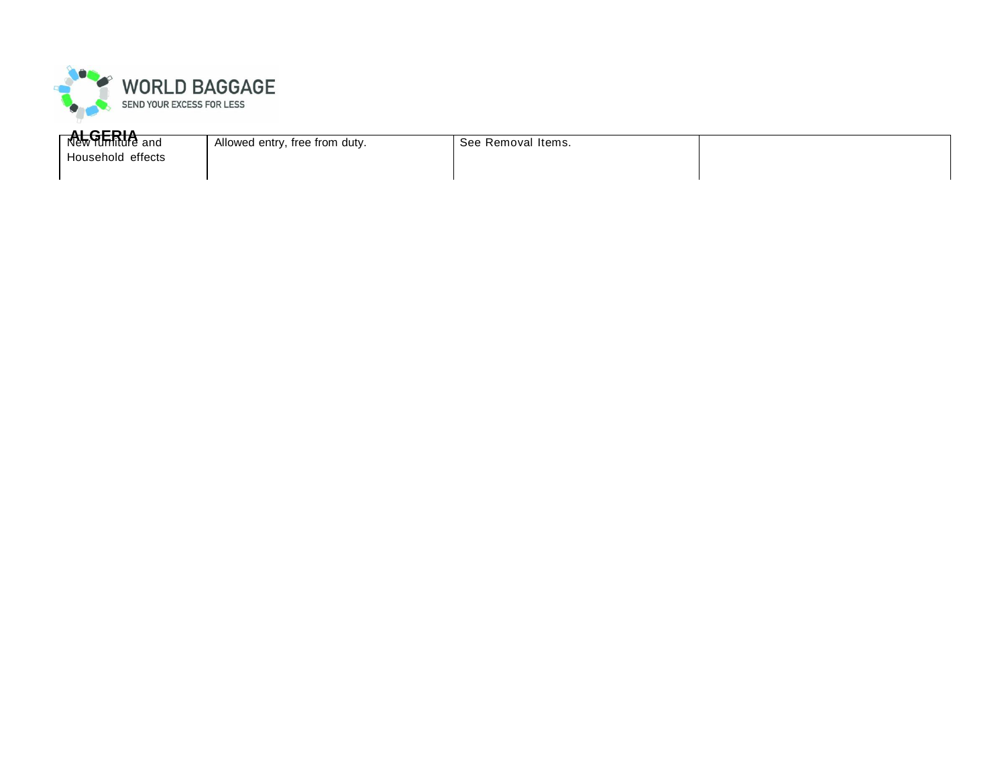

**REGERIA** and Allowed entry, free from duty.

See Removal Items.

Household effects